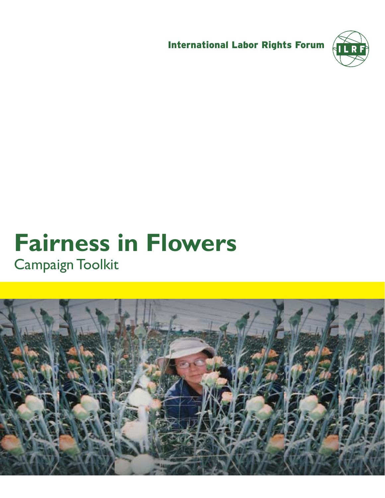International Labor Rights Forum



## **Fairness in Flowers**  Campaign Toolkit

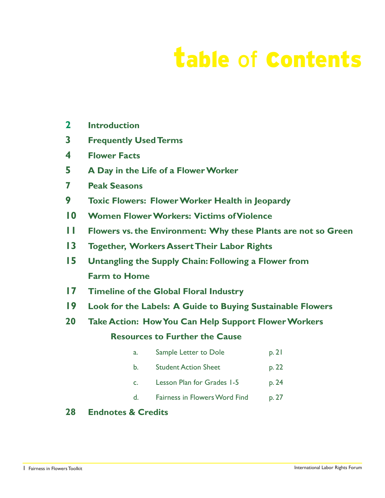# table of contents

- **2 Introduction**
- **3 Frequently Used Terms**
- **4 Flower Facts**
- **5 A Day in the Life of a Flower Worker**
- **7 Peak Seasons**
- **9 Toxic Flowers: Flower Worker Health in Jeopardy**
- **10 Women Flower Workers: Victims of Violence**
- **11 Flowers vs. the Environment: Why these Plants are not so Green**
- **13 Together, Workers Assert Their Labor Rights**
- **15 Untangling the Supply Chain: Following a Flower from Farm to Home**
- **17 Timeline of the Global Floral Industry**
- **19 Look for the Labels: A Guide to Buying Sustainable Flowers**
- **20 Take Action: How You Can Help Support Flower Workers**

#### **Resources to Further the Cause**

- a. Sample Letter to Dole b. 21
- b. Student Action Sheet p. 22
- c. Lesson Plan for Grades 1-5 p. 24
- d. Fairness in Flowers Word Find p. 27

#### **28 Endnotes & Credits**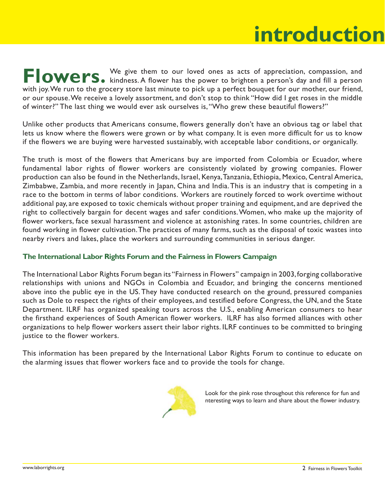## **introduction introduction**

**Flowers.** We give them to our loved ones as acts of appreciation, compassion, and  $\mathbf{F}$  **CWEFS**. kindness. A flower has the power to brighten a person's day and fill a person kindness. A flower has the power to brighten a person's day and fill a person with joy. We run to the grocery store last minute to pick up a perfect bouquet for our mother, our friend, or our spouse. We receive a lovely assortment, and don't stop to think "How did I get roses in the middle of winter?" The last thing we would ever ask ourselves is, "Who grew these beautiful flowers?"

Unlike other products that Americans consume, flowers generally don't have an obvious tag or label that lets us know where the flowers were grown or by what company. It is even more difficult for us to know if the flowers we are buying were harvested sustainably, with acceptable labor conditions, or organically.

The truth is most of the flowers that Americans buy are imported from Colombia or Ecuador, where fundamental labor rights of flower workers are consistently violated by growing companies. Flower production can also be found in the Netherlands, Israel, Kenya, Tanzania, Ethiopia, Mexico, Central America, Zimbabwe, Zambia, and more recently in Japan, China and India. This is an industry that is competing in a race to the bottom in terms of labor conditions. Workers are routinely forced to work overtime without additional pay, are exposed to toxic chemicals without proper training and equipment, and are deprived the right to collectively bargain for decent wages and safer conditions. Women, who make up the majority of flower workers, face sexual harassment and violence at astonishing rates. In some countries, children are found working in flower cultivation. The practices of many farms, such as the disposal of toxic wastes into nearby rivers and lakes, place the workers and surrounding communities in serious danger.

#### **The International Labor Rights Forum and the Fairness in Flowers Campaign**

The International Labor Rights Forum began its "Fairness in Flowers" campaign in 2003, forging collaborative relationships with unions and NGOs in Colombia and Ecuador, and bringing the concerns mentioned above into the public eye in the US. They have conducted research on the ground, pressured companies such as Dole to respect the rights of their employees, and testified before Congress, the UN, and the State Department. ILRF has organized speaking tours across the U.S., enabling American consumers to hear the firsthand experiences of South American flower workers. ILRF has also formed alliances with other organizations to help flower workers assert their labor rights. ILRF continues to be committed to bringing justice to the flower workers.

This information has been prepared by the International Labor Rights Forum to continue to educate on the alarming issues that flower workers face and to provide the tools for change.



Look for the pink rose throughout this reference for fun and nteresting ways to learn and share about the flower industry.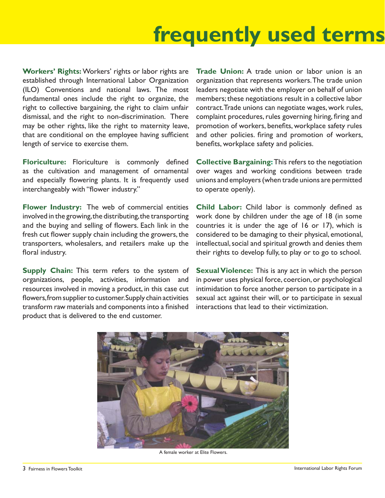## **frequently used terms**

**Workers' Rights:**Workers' rights or labor rights are established through International Labor Organization (ILO) Conventions and national laws. The most fundamental ones include the right to organize, the right to collective bargaining, the right to claim unfair dismissal, and the right to non-discrimination. There may be other rights, like the right to maternity leave, that are conditional on the employee having sufficient length of service to exercise them.

Floriculture: Floriculture is commonly defined as the cultivation and management of ornamental and especially flowering plants. It is frequently used interchangeably with "flower industry."

**Flower Industry:** The web of commercial entities involved in the growing, the distributing, the transporting and the buying and selling of flowers. Each link in the fresh cut flower supply chain including the growers, the transporters, wholesalers, and retailers make up the floral industry.

**Supply Chain:** This term refers to the system of organizations, people, activities, information and resources involved in moving a product, in this case cut flowers, from supplier to customer. Supply chain activities transform raw materials and components into a finished product that is delivered to the end customer.

**Trade Union:** A trade union or labor union is an organization that represents workers. The trade union leaders negotiate with the employer on behalf of union members; these negotiations result in a collective labor contract. Trade unions can negotiate wages, work rules, complaint procedures, rules governing hiring, firing and promotion of workers, benefits, workplace safety rules and other policies. firing and promotion of workers, benefits, workplace safety and policies.

**Collective Bargaining:** This refers to the negotiation over wages and working conditions between trade unions and employers (when trade unions are permitted to operate openly).

Child Labor: Child labor is commonly defined as work done by children under the age of 18 (in some countries it is under the age of 16 or 17), which is considered to be damaging to their physical, emotional, intellectual, social and spiritual growth and denies them their rights to develop fully, to play or to go to school.

**Sexual Violence:** This is any act in which the person in power uses physical force, coercion, or psychological intimidation to force another person to participate in a sexual act against their will, or to participate in sexual interactions that lead to their victimization.



A female worker at Elite Flowers.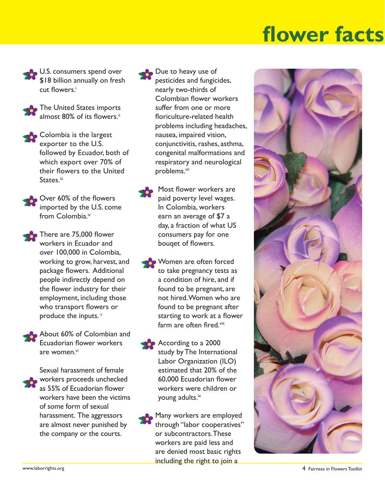## **r** fac **s and the set of the set of the set of the set of the set of the set of the set of the set of the set of the set of the set of the set of the set of the set of the set of the set of the set of the set of the set of the se**

U.S. consumers spend over \$18 billion annually on fresh cut flowers.<sup>i</sup>



The United States imports almost 80% of its flowers.<sup>ii</sup>

Colombia is the largest exporter to the U.S. followed by Ecuador, both of which export over 70% of their flowers to the United States.<sup>iii</sup>

Over 60% of the flowers imported by the U.S. come from Colombia.<sup>iv</sup>

There are 75,000 flower workers in Ecuador and over 100,000 in Colombia, working to grow, harvest, and package flowers. Additional people indirectly depend on the flower industry for their employment, including those who transport flowers or produce the inputs. v



About 60% of Colombian and Ecuadorian flower workers are women.<sup>vi</sup>

Sexual harassment of female workers proceeds unchecked as 55% of Ecuadorian flower workers have been the victims of some form of sexual harassment. The aggressors are almost never punished by the company or the courts.

Due to heavy use of pesticides and fungicides, nearly two-thirds of Colombian flower workers suffer from one or more floriculture-related health problems including headaches, nausea, impaired vision, conjunctivitis, rashes, asthma, congenital malformations and respiratory and neurological problems.<sup>vii</sup>

Most flower workers are paid poverty level wages. In Colombia, workers earn an average of \$7 a day, a fraction of what US consumers pay for one bouqet of flowers.

Women are often forced to take pregnancy tests as a condition of hire, and if found to be pregnant, are not hired. Women who are found to be pregnant after starting to work at a flower farm are often fired.<sup>viii</sup>

- According to a 2000 study by The International Labor Organization (ILO) estimated that 20% of the 60,000 Ecuadorian flower workers were children or young adults.<sup>ix</sup>
- Many workers are employed through "labor cooperatives" or subcontractors. These workers are paid less and are denied most basic rights including the right to join a

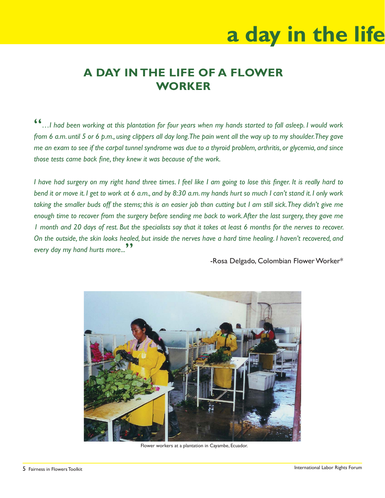# **a day in the life**

## **A DAY IN THE LIFE OF A FLOWER WORKER**

...I had been working at this plantation for four years when my hands started to fall asleep. I would work *from 6 a.m. until 5 or 6 p.m., using clippers all day long. The pain went all the way up to my shoulder. They gave me an exam to see if the carpal tunnel syndrome was due to a thyroid problem, arthritis, or glycemia, and since those tests came back fine, they knew it was because of the work.* 

I have had surgery on my right hand three times. I feel like I am going to lose this finger. It is really hard to *bend it or move it. I get to work at 6 a.m., and by 8:30 a.m. my hands hurt so much I can't stand it. I only work taking the smaller buds off the stems; this is an easier job than cutting but I am still sick. They didn't give me enough time to recover from the surgery before sending me back to work. After the last surgery, they gave me 1 month and 20 days of rest. But the specialists say that it takes at least 6 months for the nerves to recover. On the outside, the skin looks healed, but inside the nerves have a hard time healing. I haven't recovered, and every day my hand hurts more...*"

-Rosa Delgado, Colombian Flower Worker\*



Flower workers at a plantation in Cayambe, Ecuador.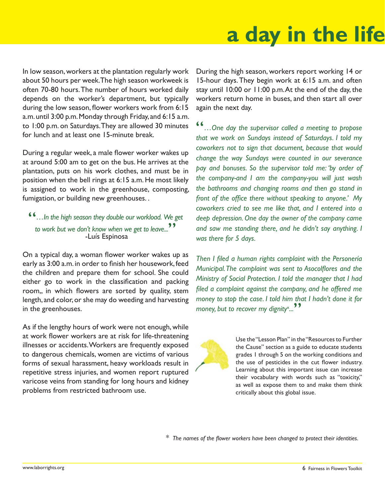## **a day in the life a day in the life**

In low season, workers at the plantation regularly work about 50 hours per week. The high season workweek is often 70-80 hours. The number of hours worked daily depends on the worker's department, but typically during the low season, flower workers work from 6:15 a.m. until 3:00 p.m. Monday through Friday, and 6:15 a.m. to 1:00 p.m. on Saturdays. They are allowed 30 minutes for lunch and at least one 15-minute break.

During a regular week, a male flower worker wakes up at around 5:00 am to get on the bus. He arrives at the plantation, puts on his work clothes, and must be in position when the bell rings at 6:15 a.m. He most likely is assigned to work in the greenhouse, composting, fumigation, or building new greenhouses. .

#### "*…In the high season they double our workload. We get*  to work but we don't know when we get to leave...<sup>99</sup> -Luís Espinosa

On a typical day, a woman flower worker wakes up as early as 3:00 a.m. in order to finish her housework, feed the children and prepare them for school. She could either go to work in the classification and packing room,, in which flowers are sorted by quality, stem length, and color, or she may do weeding and harvesting in the greenhouses.

As if the lengthy hours of work were not enough, while at work flower workers are at risk for life-threatening illnesses or accidents. Workers are frequently exposed to dangerous chemicals, women are victims of various forms of sexual harassment, heavy workloads result in repetitive stress injuries, and women report ruptured varicose veins from standing for long hours and kidney problems from restricted bathroom use.

During the high season, workers report working 14 or 15-hour days. They begin work at 6:15 a.m. and often stay until 10:00 or 11:00 p.m. At the end of the day, the workers return home in buses, and then start all over again the next day.

"*…One day the supervisor called a meeting to propose that we work on Sundays instead of Saturdays. I told my coworkers not to sign that document, because that would change the way Sundays were counted in our severance pay and bonuses. So the supervisor told me: 'by order of the company-and I am the company-you will just wash the bathrooms and changing rooms and then go stand in*  front of the office there without speaking to anyone.' My *coworkers cried to see me like that, and I entered into a deep depression. One day the owner of the company came and saw me standing there, and he didn't say anything. I was there for 5 days.* 

*Then I filed a human rights complaint with the Personería Municipal. The complaint was sent to Asocolflores and the Ministry of Social Protection. I told the manager that I had*  filed a complaint against the company, and he offered me *money to stop the case. I told him that I hadn't done it for*  money, but to recover my dignity<sup>x</sup>...<sup>99</sup>



Use the "Lesson Plan" in the "Resources to Further the Cause" section as a guide to educate students grades 1 through 5 on the working conditions and the use of pesticides in the cut flower industry. Learning about this important issue can increase their vocabulary with words such as "toxicity," as well as expose them to and make them think critically about this global issue.

\* *The names of the fl ower workers have been changed to protect their identities.*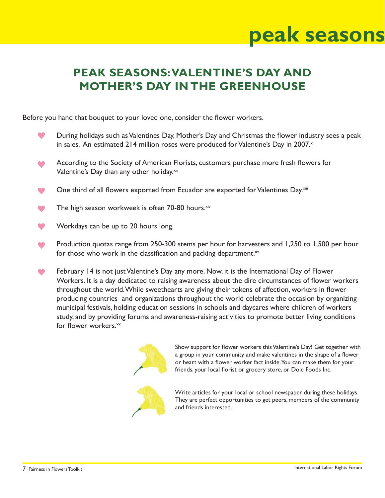## **peak seasons**

## **PEAK SEASONS: VALENTINE'S DAY AND MOTHER'S DAY IN THE GREENHOUSE**

Before you hand that bouquet to your loved one, consider the flower workers.

- During holidays such as Valentines Day, Mother's Day and Christmas the flower industry sees a peak in sales. An estimated 214 million roses were produced for Valentine's Day in 2007. $\times$
- According to the Society of American Florists, customers purchase more fresh flowers for Valentine's Day than any other holiday.<sup>xii</sup>
- One third of all flowers exported from Ecuador are exported for Valentines Day.<sup>xiii</sup>
- The high season workweek is often 70-80 hours. xiv
- Workdays can be up to 20 hours long.
- Production quotas range from 250-300 stems per hour for harvesters and 1,250 to 1,500 per hour for those who work in the classification and packing department. $x<sub>v</sub>$
- œ February 14 is not just Valentine's Day any more. Now, it is the International Day of Flower Workers. It is a day dedicated to raising awareness about the dire circumstances of flower workers throughout the world. While sweethearts are giving their tokens of affection, workers in flower producing countries and organizations throughout the world celebrate the occasion by organizing municipal festivals, holding education sessions in schools and daycares where children of workers study, and by providing forums and awareness-raising activities to promote better living conditions for flower workers.<sup>xvi</sup>



Show support for flower workers this Valentine's Day! Get together with a group in your community and make valentines in the shape of a flower or heart with a flower worker fact inside. You can make them for your friends, your local florist or grocery store, or Dole Foods Inc.



Write articles for your local or school newspaper during these holidays. They are perfect opportunities to get peers, members of the community and friends interested.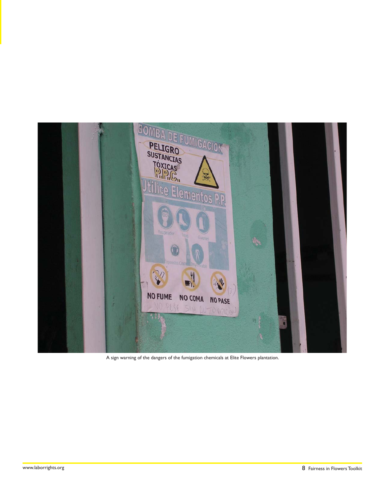

A sign warning of the dangers of the fumigation chemicals at Elite Flowers plantation.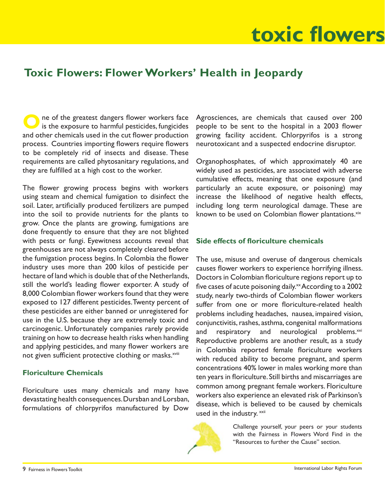# **toxic flowers**

## **Toxic Flowers: Flower Workers' Health in Jeopardy**

**O**ne of the greatest dangers flower workers face is the exposure to harmful pesticides, fungicides and other chemicals used in the cut flower production process. Countries importing flowers require flowers to be completely rid of insects and disease. These requirements are called phytosanitary regulations, and they are fulfilled at a high cost to the worker.

The flower growing process begins with workers using steam and chemical fumigation to disinfect the soil. Later, artificially produced fertilizers are pumped into the soil to provide nutrients for the plants to grow. Once the plants are growing, fumigations are done frequently to ensure that they are not blighted with pests or fungi. Eyewitness accounts reveal that greenhouses are not always completely cleared before the fumigation process begins. In Colombia the flower industry uses more than 200 kilos of pesticide per hectare of land which is double that of the Netherlands, still the world's leading flower exporter. A study of 8,000 Colombian flower workers found that they were exposed to 127 different pesticides. Twenty percent of these pesticides are either banned or unregistered for use in the U.S. because they are extremely toxic and carcinogenic. Unfortunately companies rarely provide training on how to decrease health risks when handling and applying pesticides, and many flower workers are not given sufficient protective clothing or masks.<sup>xviii</sup>

#### **Floriculture Chemicals**

Floriculture uses many chemicals and many have devastating health consequences. Dursban and Lorsban, formulations of chlorpyrifos manufactured by Dow

Agrosciences, are chemicals that caused over 200 people to be sent to the hospital in a 2003 flower growing facility accident. Chlorpyrifos is a strong neurotoxicant and a suspected endocrine disruptor.

Organophosphates, of which approximately 40 are widely used as pesticides, are associated with adverse cumulative effects, meaning that one exposure (and particularly an acute exposure, or poisoning) may increase the likelihood of negative health effects, including long term neurological damage. These are known to be used on Colombian flower plantations.xix

#### **Side effects of floriculture chemicals**

The use, misuse and overuse of dangerous chemicals causes flower workers to experience horrifying illness. Doctors in Colombian floriculture regions report up to five cases of acute poisoning daily. $x \times$  According to a 2002 study, nearly two-thirds of Colombian flower workers suffer from one or more floriculture-related health problems including headaches, nausea, impaired vision, conjunctivitis, rashes, asthma, congenital malformations and respiratory and neurological problems.<sup>xxi</sup> Reproductive problems are another result, as a study in Colombia reported female floriculture workers with reduced ability to become pregnant, and sperm concentrations 40% lower in males working more than ten years in floriculture. Still births and miscarriages are common among pregnant female workers. Floriculture workers also experience an elevated risk of Parkinson's disease, which is believed to be caused by chemicals used in the industry. xxii



Challenge yourself, your peers or your students with the Fairness in Flowers Word Find in the "Resources to further the Cause" section.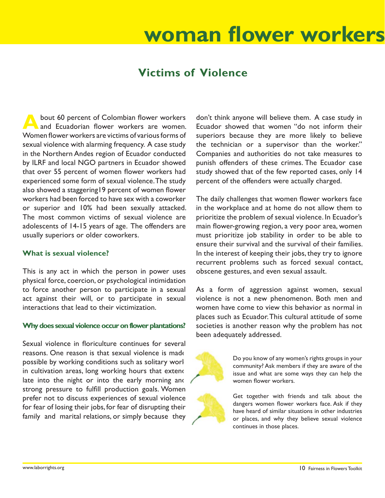### **TAK WOKKA s and the set of the woman flower workers**

## **Victims of Violence**

bout 60 percent of Colombian flower workers and Ecuadorian flower workers are women. Women flower workers are victims of various forms of sexual violence with alarming frequency. A case study in the Northern Andes region of Ecuador conducted by ILRF and local NGO partners in Ecuador showed that over 55 percent of women flower workers had experienced some form of sexual violence. The study also showed a staggering19 percent of women flower workers had been forced to have sex with a coworker or superior and 10% had been sexually attacked. The most common victims of sexual violence are adolescents of 14-15 years of age. The offenders are usually superiors or older coworkers.

#### **What is sexual violence?**

This is any act in which the person in power uses physical force, coercion, or psychological intimidation to force another person to participate in a sexual act against their will, or to participate in sexual interactions that lead to their victimization.

#### **Why does sexual violence occur on flower plantations?**

Sexual violence in floriculture continues for several reasons. One reason is that sexual violence is made possible by working conditions such as solitary worl in cultivation areas, long working hours that extend late into the night or into the early morning and strong pressure to fulfill production goals. Women prefer not to discuss experiences of sexual violence for fear of losing their jobs, for fear of disrupting their family and marital relations, or simply because they

don't think anyone will believe them. A case study in Ecuador showed that women "do not inform their superiors because they are more likely to believe the technician or a supervisor than the worker." Companies and authorities do not take measures to punish offenders of these crimes. The Ecuador case study showed that of the few reported cases, only 14 percent of the offenders were actually charged.

The daily challenges that women flower workers face in the workplace and at home do not allow them to prioritize the problem of sexual violence. In Ecuador's main flower-growing region, a very poor area, women must prioritize job stability in order to be able to ensure their survival and the survival of their families. In the interest of keeping their jobs, they try to ignore recurrent problems such as forced sexual contact, obscene gestures, and even sexual assault.

As a form of aggression against women, sexual violence is not a new phenomenon. Both men and women have come to view this behavior as normal in places such as Ecuador. This cultural attitude of some societies is another reason why the problem has not been adequately addressed.



Do you know of any women's rights groups in your community? Ask members if they are aware of the issue and what are some ways they can help the women flower workers.

Get together with friends and talk about the dangers women flower workers face. Ask if they have heard of similar situations in other industries or places, and why they believe sexual violence continues in those places.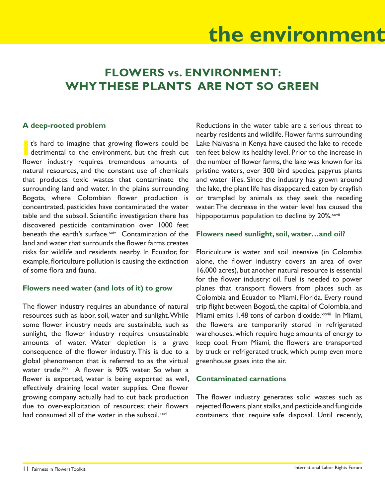## **the environment**

## **FLOWERS vs. ENVIRONMENT: WHY THESE PLANTS ARE NOT SO GREEN**

#### **A deep-rooted problem**

**I** t's hard to imagine that growing flowers could be detrimental to the environment, but the fresh cut flower industry requires tremendous amounts of natural resources, and the constant use of chemicals that produces toxic wastes that contaminate the surrounding land and water. In the plains surrounding Bogota, where Colombian flower production is concentrated, pesticides have contaminated the water table and the subsoil. Scientific investigation there has discovered pesticide contamination over 1000 feet beneath the earth's surface.<sup>xxiv</sup> Contamination of the land and water that surrounds the flower farms creates risks for wildlife and residents nearby. In Ecuador, for example, floriculture pollution is causing the extinction of some flora and fauna.

#### **Flowers need water (and lots of it) to grow**

The flower industry requires an abundance of natural resources such as labor, soil, water and sunlight. While some flower industry needs are sustainable, such as sunlight, the flower industry requires unsustainable amounts of water. Water depletion is a grave consequence of the flower industry. This is due to a global phenomenon that is referred to as the virtual water trade. $x^2$  A flower is 90% water. So when a flower is exported, water is being exported as well, effectively draining local water supplies. One flower growing company actually had to cut back production due to over-exploitation of resources; their flowers had consumed all of the water in the subsoil.<sup>xxvi</sup>

Reductions in the water table are a serious threat to nearby residents and wildlife. Flower farms surrounding Lake Naivasha in Kenya have caused the lake to recede ten feet below its healthy level. Prior to the increase in the number of flower farms, the lake was known for its pristine waters, over 300 bird species, papyrus plants and water lilies. Since the industry has grown around the lake, the plant life has disappeared, eaten by crayfish or trampled by animals as they seek the receding water. The decrease in the water level has caused the hippopotamus population to decline by 20%.<sup>xxvii</sup>

#### **Flowers need sunlight, soil, water…and oil?**

Floriculture is water and soil intensive (in Colombia alone, the flower industry covers an area of over 16,000 acres), but another natural resource is essential for the flower industry: oil. Fuel is needed to power planes that transport flowers from places such as Colombia and Ecuador to Miami, Florida. Every round trip flight between Bogotá, the capital of Colombia, and Miami emits 1.48 tons of carbon dioxide.<sup>xxviii</sup> In Miami, the flowers are temporarily stored in refrigerated warehouses, which require huge amounts of energy to keep cool. From Miami, the flowers are transported by truck or refrigerated truck, which pump even more greenhouse gases into the air.

#### **Contaminated carnations**

The flower industry generates solid wastes such as rejected flowers, plant stalks, and pesticide and fungicide containers that require safe disposal. Until recently,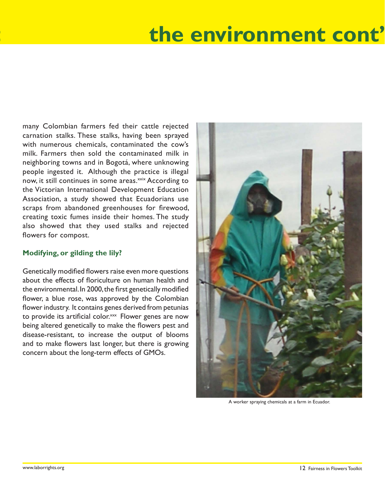## ment con **the environment cont'**

many Colombian farmers fed their cattle rejected carnation stalks. These stalks, having been sprayed with numerous chemicals, contaminated the cow's milk. Farmers then sold the contaminated milk in neighboring towns and in Bogotá, where unknowing people ingested it. Although the practice is illegal now, it still continues in some areas.<sup>xxix</sup> According to the Victorian International Development Education Association, a study showed that Ecuadorians use scraps from abandoned greenhouses for firewood, creating toxic fumes inside their homes. The study also showed that they used stalks and rejected flowers for compost.

#### **Modifying, or gilding the lily?**

Genetically modified flowers raise even more questions about the effects of floriculture on human health and the environmental. In 2000, the first genetically modified flower, a blue rose, was approved by the Colombian flower industry. It contains genes derived from petunias to provide its artificial color.<sup>xxx</sup> Flower genes are now being altered genetically to make the flowers pest and disease-resistant, to increase the output of blooms and to make flowers last longer, but there is growing concern about the long-term effects of GMOs.



A worker spraying chemicals at a farm in Ecuador.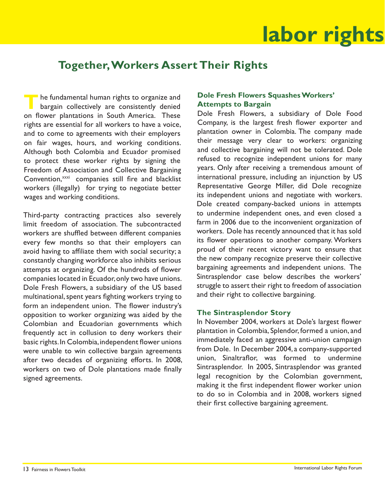## **labor rights**

## **Together, Workers Assert Their Rights**

**T** The fundamental human rights to organize and bargain collectively are consistently denied on flower plantations in South America. These rights are essential for all workers to have a voice, and to come to agreements with their employers on fair wages, hours, and working conditions. Although both Colombia and Ecuador promised to protect these worker rights by signing the Freedom of Association and Collective Bargaining Convention,<sup>xxxi</sup> companies still fire and blacklist workers (illegally) for trying to negotiate better wages and working conditions.

Third-party contracting practices also severely limit freedom of association. The subcontracted workers are shuffled between different companies every few months so that their employers can avoid having to affiliate them with social security; a constantly changing workforce also inhibits serious attempts at organizing. Of the hundreds of flower companies located in Ecuador, only two have unions. Dole Fresh Flowers, a subsidiary of the US based multinational, spent years fighting workers trying to form an independent union. The flower industry's opposition to worker organizing was aided by the Colombian and Ecuadorian governments which frequently act in collusion to deny workers their basic rights. In Colombia, independent flower unions were unable to win collective bargain agreements after two decades of organizing efforts. In 2008, workers on two of Dole plantations made finally signed agreements.

#### **Dole Fresh Flowers Squashes Workers' Attempts to Bargain**

Dole Fresh Flowers, a subsidiary of Dole Food Company, is the largest fresh flower exporter and plantation owner in Colombia. The company made their message very clear to workers: organizing and collective bargaining will not be tolerated. Dole refused to recognize independent unions for many years. Only after receiving a tremendous amount of international pressure, including an injunction by US Representative George Miller, did Dole recognize its independent unions and negotiate with workers. Dole created company-backed unions in attempts to undermine independent ones, and even closed a farm in 2006 due to the inconvenient organization of workers. Dole has recently announced that it has sold its flower operations to another company. Workers proud of their recent victory want to ensure that the new company recognize preserve their collective bargaining agreements and independent unions. The Sintrasplendor case below describes the workers' struggle to assert their right to freedom of association and their right to collective bargaining.

#### **The Sintrasplendor Story**

In November 2004, workers at Dole's largest flower plantation in Colombia, Splendor, formed a union, and immediately faced an aggressive anti-union campaign from Dole. In December 2004, a company-supported union, Sinaltraflor, was formed to undermine Sintrasplendor. In 2005, Sintrasplendor was granted legal recognition by the Colombian government, making it the first independent flower worker union to do so in Colombia and in 2008, workers signed their first collective bargaining agreement.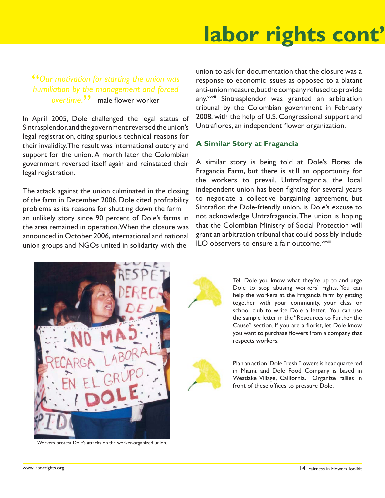## **Labor rights, conti labor rights cont'**

"*Our motivation for starting the union was humiliation by the management and forced overtime.*" --male flower worker

In April 2005, Dole challenged the legal status of Sintrasplendor, and the government reversed the union's legal registration, citing spurious technical reasons for their invalidity. The result was international outcry and support for the union. A month later the Colombian government reversed itself again and reinstated their legal registration.

The attack against the union culminated in the closing of the farm in December 2006. Dole cited profitability problems as its reasons for shutting down the farm an unlikely story since 90 percent of Dole's farms in the area remained in operation. When the closure was announced in October 2006, international and national union groups and NGOs united in solidarity with the

union to ask for documentation that the closure was a response to economic issues as opposed to a blatant anti-union measure, but the company refused to provide any.<sup>xxxii</sup> Sintrasplendor was granted an arbitration tribunal by the Colombian government in February 2008, with the help of U.S. Congressional support and Untraflores, an independent flower organization.

#### **A Similar Story at Fragancia**

A similar story is being told at Dole's Flores de Fragancia Farm, but there is still an opportunity for the workers to prevail. Untrafragancia, the local independent union has been fighting for several years to negotiate a collective bargaining agreement, but Sintraflor, the Dole-friendly union, is Dole's excuse to not acknowledge Untrafragancia. The union is hoping that the Colombian Ministry of Social Protection will grant an arbitration tribunal that could possibly include  $\mathsf{I}$ I.O observers to ensure a fair outcome. $\frac{xxxx}{}$ 



Workers protest Dole's attacks on the worker-organized union.



Tell Dole you know what they're up to and urge Dole to stop abusing workers' rights. You can help the workers at the Fragancia farm by getting together with your community, your class or school club to write Dole a letter. You can use the sample letter in the "Resources to Further the Cause" section. If you are a florist, let Dole know you want to purchase flowers from a company that respects workers.



Plan an action! Dole Fresh Flowers is headquartered in Miami, and Dole Food Company is based in Westlake Village, California. Organize rallies in front of these offices to pressure Dole.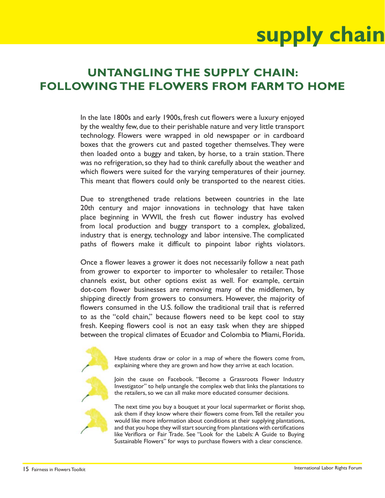# **supply chain**

## **UNTANGLING THE SUPPLY CHAIN: FOLLOWING THE FLOWERS FROM FARM TO HOME**

In the late 1800s and early 1900s, fresh cut flowers were a luxury enjoyed by the wealthy few, due to their perishable nature and very little transport technology. Flowers were wrapped in old newspaper or in cardboard boxes that the growers cut and pasted together themselves. They were then loaded onto a buggy and taken, by horse, to a train station. There was no refrigeration, so they had to think carefully about the weather and which flowers were suited for the varying temperatures of their journey. This meant that flowers could only be transported to the nearest cities.

Due to strengthened trade relations between countries in the late 20th century and major innovations in technology that have taken place beginning in WWII, the fresh cut flower industry has evolved from local production and buggy transport to a complex, globalized, industry that is energy, technology and labor intensive. The complicated paths of flowers make it difficult to pinpoint labor rights violators.

Once a flower leaves a grower it does not necessarily follow a neat path from grower to exporter to importer to wholesaler to retailer. Those channels exist, but other options exist as well. For example, certain dot-com flower businesses are removing many of the middlemen, by shipping directly from growers to consumers. However, the majority of flowers consumed in the U.S. follow the traditional trail that is referred to as the "cold chain," because flowers need to be kept cool to stay fresh. Keeping flowers cool is not an easy task when they are shipped between the tropical climates of Ecuador and Colombia to Miami, Florida.



Have students draw or color in a map of where the flowers come from, explaining where they are grown and how they arrive at each location.

Join the cause on Facebook. "Become a Grassroots Flower Industry Investigator" to help untangle the complex web that links the plantations to the retailers, so we can all make more educated consumer decisions.

The next time you buy a bouquet at your local supermarket or florist shop, ask them if they know where their flowers come from. Tell the retailer you would like more information about conditions at their supplying plantations, and that you hope they will start sourcing from plantations with certifications like Veriflora or Fair Trade. See "Look for the Labels: A Guide to Buying Sustainable Flowers" for ways to purchase flowers with a clear conscience.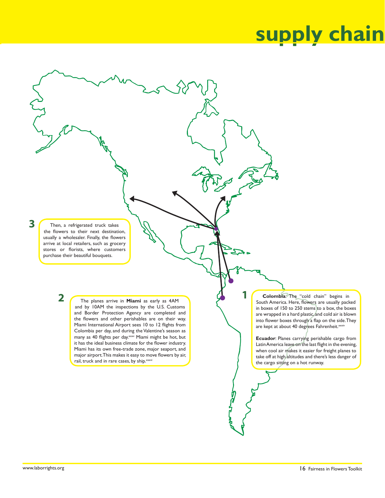## **supply chain**

Then, a refrigerated truck takes the flowers to their next destination, usually a wholesaler. Finally, the flowers arrive at local retailers, such as grocery stores or florists, where customers purchase their beautiful bouquets.

**2**

**3**

The planes arrive in **Miami** as early as 4AM and by 10AM the inspections by the U.S. Customs and Border Protection Agency are completed and the flowers and other perishables are on their way. Miami International Airport sees 10 to 12 flights from Colombia per day, and during the Valentine's season as many as 40 flights per day.<sup>xxxv</sup> Miami might be hot, but it has the ideal business climate for the flower industry. Miami has its own free-trade zone, major seaport, and major airport. This makes it easy to move flowers by air, rail, truck and in rare cases, by ship. xxxvi

**Colombia**: The "cold chain" begins in South America. Here, flowers are usually packed in boxes of 150 to 250 stems to a box, the boxes are wrapped in a hard plastic, and cold air is blown into flower boxes through a flap on the side. They are kept at about 40 degrees Fahrenheit.<sup>xxxiv</sup>

**1**

**Ecuador**: Planes carrying perishable cargo from Latin America leave on the last flight in the evening, when cool air makes it easier for freight planes to take off at high altitudes and there's less danger of the cargo sitting on a hot runway.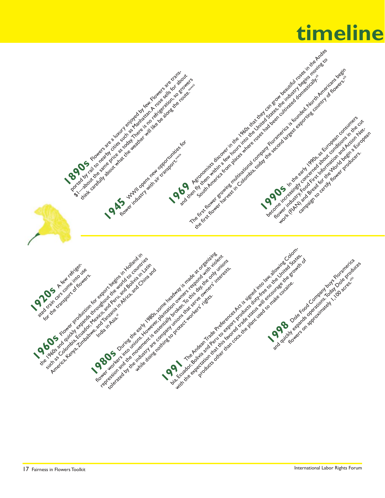## **timeline**

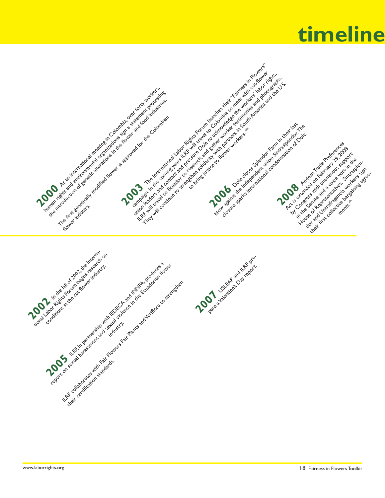## **timeline timeline**



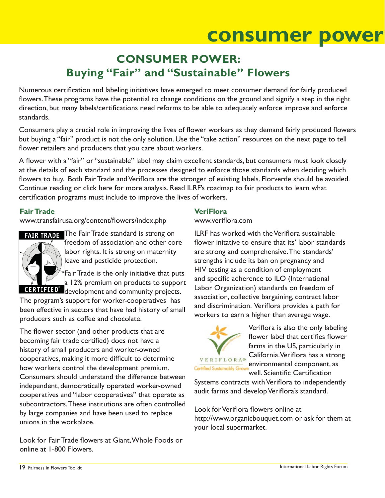## **consumer power**

## **CONSUMER POWER: Buying "Fair" and "Sustainable" Flowers**

Numerous certification and labeling initiatives have emerged to meet consumer demand for fairly produced flowers. These programs have the potential to change conditions on the ground and signify a step in the right direction, but many labels/certifications need reforms to be able to adequately enforce improve and enforce standards.

Consumers play a crucial role in improving the lives of flower workers as they demand fairly produced flowers but buying a "fair" product is not the only solution. Use the "take action" resources on the next page to tell flower retailers and producers that you care about workers.

A flower with a "fair" or "sustainable" label may claim excellent standards, but consumers must look closely at the details of each standard and the processes designed to enforce those standards when deciding which flowers to buy. Both Fair Trade and Veriflora are the stronger of existing labels. Florverde should be avoided. Continue reading or click here for more analysis. Read ILRF's roadmap to fair products to learn what certification programs must include to improve the lives of workers.

#### **Fair Trade**

www.transfairusa.org/content/flowers/index.php



FAIR TRADE The Fair Trade standard is strong on freedom of association and other core labor rights. It is strong on maternity leave and pesticide protection.

Fair Trade is the only initiative that puts a 12% premium on products to support **CERTIFIED**<sup>\*</sup> development and community projects.

The program's support for worker-cooperatives has been effective in sectors that have had history of small producers such as coffee and chocolate.

The flower sector (and other products that are becoming fair trade certified) does not have a history of small producers and worker-owned cooperatives, making it more difficult to determine how workers control the development premium. Consumers should understand the difference between independent, democratically operated worker-owned cooperatives and "labor cooperatives" that operate as subcontractors. These institutions are often controlled by large companies and have been used to replace unions in the workplace.

Look for Fair Trade flowers at Giant, Whole Foods or online at 1-800 Flowers.

#### **VeriFlora**

www.veriflora.com

ILRF has worked with the Veriflora sustainable flower initative to ensure that its' labor standards are strong and comprehensive. The standards' strengths include its ban on pregnancy and HIV testing as a condition of employment and specific adherence to ILO (International Labor Organization) standards on freedom of association, collective bargaining, contract labor and discrimination. Veriflora provides a path for workers to earn a higher than average wage.



Veriflora is also the only labeling flower label that certifies flower farms in the US, particularly in VERIFLORA® California. Veriflora has a strong environmental component, as

Certified Sustainably Gro well. Scientific Certification

Systems contracts with Veriflora to independently audit farms and develop Veriflora's standard.

Look for Veriflora flowers online at http://www.organicbouquet.com or ask for them at your local supermarket.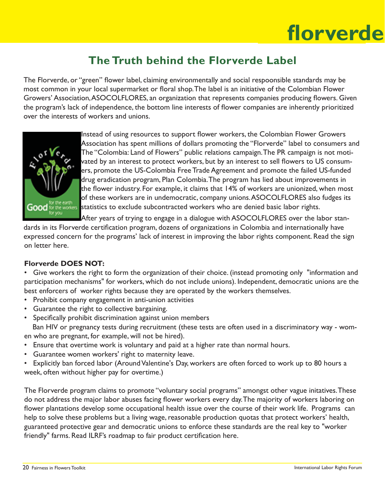### **Florverde fl orverde**

## **The Truth behind the Florverde Label**

The Florverde, or "green" flower label, claiming environmentally and social respoonsible standards may be most common in your local supermarket or floral shop. The label is an initiative of the Colombian Flower Growers' Association, ASOCOLFLORES, an organization that represents companies producing flowers. Given the program's lack of independence, the bottom line interests of flower companies are inherently prioritized over the interests of workers and unions.



Instead of using resources to support flower workers, the Colombian Flower Growers Association has spent millions of dollars promoting the "Florverde" label to consumers and The "Colombia: Land of Flowers" public relations campaign. The PR campaign is not motivated by an interest to protect workers, but by an interest to sell flowers to US consumers, promote the US-Colombia Free Trade Agreement and promote the failed US-funded drug eradication program, Plan Colombia. The program has lied about improvements in the flower industry. For example, it claims that 14% of workers are unionized, when most of these workers are in undemocratic, company unions. ASOCOLFLORES also fudges its **statistics to exclude subcontracted workers who are denied basic labor rights.** 

After years of trying to engage in a dialogue with ASOCOLFLORES over the labor stan-

dards in its Florverde certification program, dozens of organizations in Colombia and internationally have expressed concern for the programs' lack of interest in improving the labor rights component. Read the sign on letter here.

#### **Florverde DOES NOT:**

• Give workers the right to form the organization of their choice. (instead promoting only "information and participation mechanisms" for workers, which do not include unions). Independent, democratic unions are the best enforcers of worker rights because they are operated by the workers themselves.

- Prohibit company engagement in anti-union activities
- Guarantee the right to collective bargaining.
- Specifically prohibit discrimination against union members Ban HIV or pregnancy tests during recruitment (these tests are often used in a discriminatory way - wom-

en who are pregnant, for example, will not be hired).

- Ensure that overtime work is voluntary and paid at a higher rate than normal hours.
- Guarantee women workers' right to maternity leave.
- Explicitly ban forced labor (Around Valentine's Day, workers are often forced to work up to 80 hours a week, often without higher pay for overtime.)

The Florverde program claims to promote "voluntary social programs" amongst other vague initatives. These do not address the major labor abuses facing flower workers every day. The majority of workers laboring on flower plantations develop some occupational health issue over the course of their work life. Programs can help to solve these problems but a living wage, reasonable production quotas that protect workers' health, guaranteed protective gear and democratic unions to enforce these standards are the real key to "worker friendly" farms. Read ILRF's roadmap to fair product certification here.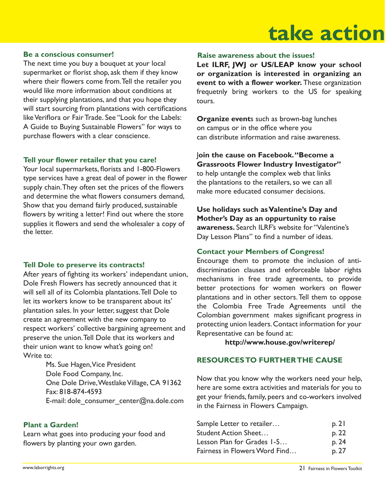### **tactic take action**

#### **Be a conscious consumer!**

The next time you buy a bouquet at your local supermarket or florist shop, ask them if they know where their flowers come from. Tell the retailer you would like more information about conditions at their supplying plantations, and that you hope they will start sourcing from plantations with certifications like Veriflora or Fair Trade. See "Look for the Labels: A Guide to Buying Sustainable Flowers" for ways to purchase flowers with a clear conscience.

#### Tell your flower retailer that you care!

Your local supermarkets, florists and 1-800-Flowers type services have a great deal of power in the flower supply chain. They often set the prices of the flowers and determine the what flowers consumers demand, Show that you demand fairly produced, sustainable flowers by writing a letter! Find out where the store supplies it flowers and send the wholesaler a copy of the letter.

#### **Tell Dole to preserve its contracts!**

After years of fighting its workers' independant union, Dole Fresh Flowers has secretly announced that it will sell all of its Colombia plantations. Tell Dole to let its workers know to be transparent about its' plantation sales. In your letter, suggest that Dole create an agreement with the new company to respect workers' collective bargaining agreement and preserve the union. Tell Dole that its workers and their union want to know what's going on! Write to:

> Ms. Sue Hagen, Vice President Dole Food Company, Inc. One Dole Drive, Westlake Village, CA 91362 Fax: 818-874-4593 E-mail: dole\_consumer\_center@na.dole.com

#### **Plant a Garden!**

Learn what goes into producing your food and flowers by planting your own garden.

#### **Raise awareness about the issues!**

**Let ILRF, JWJ or US/LEAP know your school or organization is interested in organizing an event to with a flower worker.** These organization frequetnly bring workers to the US for speaking tours.

**Organize event**s such as brown-bag lunches on campus or in the office where you can distribute information and raise awareness.

#### J**oin the cause on Facebook. "Become a**

**Grassroots Flower Industry Investigator"** to help untangle the complex web that links the plantations to the retailers, so we can all make more educated consumer decisions.

**Use holidays such as Valentine's Day and Mother's Day as an oppurtunity to raise awareness.** Search ILRF's website for "Valentine's Day Lesson Plans" to find a number of ideas.

#### **Contact your Members of Congress!**

Encourage them to promote the inclusion of antidiscrimination clauses and enforceable labor rights mechanisms in free trade agreements, to provide better protections for women workers on flower plantations and in other sectors. Tell them to oppose the Colombia Free Trade Agreements until the Colombian government makes significant progress in protecting union leaders. Contact information for your Representative can be found at:

**http://www.house.gov/writerep/**

#### **RESOURCES TO FURTHER THE CAUSE**

Now that you know why the workers need your help, here are some extra activities and materials for you to get your friends, family, peers and co-workers involved in the Fairness in Flowers Campaign.

| Sample Letter to retailer     | p. 21 |
|-------------------------------|-------|
| <b>Student Action Sheet</b>   | p. 22 |
| Lesson Plan for Grades 1-5    | p. 24 |
| Fairness in Flowers Word Find | p. 27 |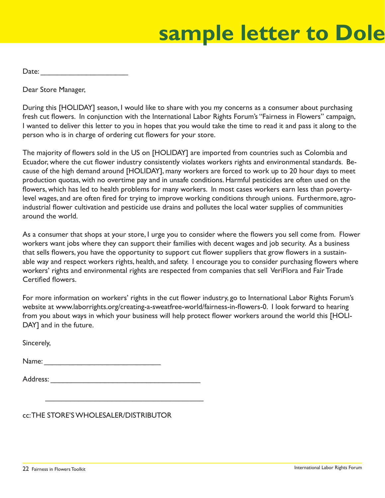## **resources: Sample letter to Dole**

Date:

Dear Store Manager,

During this [HOLIDAY] season, I would like to share with you my concerns as a consumer about purchasing fresh cut flowers. In conjunction with the International Labor Rights Forum's "Fairness in Flowers" campaign, I wanted to deliver this letter to you in hopes that you would take the time to read it and pass it along to the person who is in charge of ordering cut flowers for your store.

The majority of flowers sold in the US on [HOLIDAY] are imported from countries such as Colombia and Ecuador, where the cut flower industry consistently violates workers rights and environmental standards. Because of the high demand around [HOLIDAY], many workers are forced to work up to 20 hour days to meet production quotas, with no overtime pay and in unsafe conditions. Harmful pesticides are often used on the flowers, which has led to health problems for many workers. In most cases workers earn less than povertylevel wages, and are often fired for trying to improve working conditions through unions. Furthermore, agroindustrial flower cultivation and pesticide use drains and pollutes the local water supplies of communities around the world.

As a consumer that shops at your store, I urge you to consider where the flowers you sell come from. Flower workers want jobs where they can support their families with decent wages and job security. As a business that sells flowers, you have the opportunity to support cut flower suppliers that grow flowers in a sustainable way and respect workers rights, health, and safety. I encourage you to consider purchasing flowers where workers' rights and environmental rights are respected from companies that sell VeriFlora and Fair Trade Certified flowers

For more information on workers' rights in the cut flower industry, go to International Labor Rights Forum's website at www.laborrights.org/creating-a-sweatfree-world/fairness-in-flowers-0. I look forward to hearing from you about ways in which your business will help protect flower workers around the world this [HOLI-DAY] and in the future.

Sincerely,

Name:  $\blacksquare$ 

| Address: |  |  |  |
|----------|--|--|--|
|          |  |  |  |

\_\_\_\_\_\_\_\_\_\_\_\_\_\_\_\_\_\_\_\_\_\_\_\_\_\_\_\_\_\_\_\_\_\_\_\_\_\_

cc: THE STORE'S WHOLESALER/DISTRIBUTOR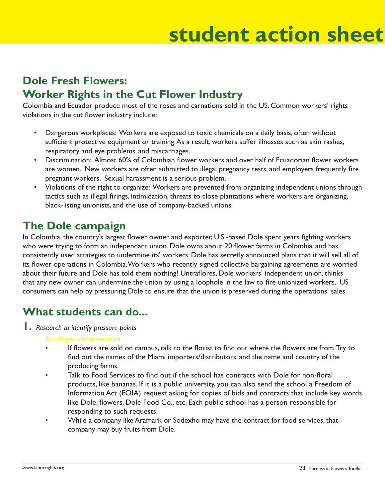### **dent action she student action sheet**

## **Dole Fresh Flowers: Worker Rights in the Cut Flower Industry**

Colombia and Ecuador produce most of the roses and carnations sold in the US. Common workers' rights violations in the cut flower industry include:

- Dangerous workplaces: Workers are exposed to toxic chemicals on a daily basis, often without sufficient protective equipment or training. As a result, workers suffer illnesses such as skin rashes, respiratory and eye problems, and miscarriages.
- Discrimination: Almost 60% of Colombian flower workers and over half of Ecuadorian flower workers are women. New workers are often submitted to illegal pregnancy tests, and employers frequently fire pregnant workers. Sexual harassment is a serious problem.
- Violations of the right to organize: Workers are prevented from organizing independent unions through tactics such as illegal firings, intimidation, threats to close plantations where workers are organizing, black-listing unionists, and the use of company-backed unions.

## **The Dole campaign**

In Colombia, the country's largest flower owner and exporter, U.S.-based Dole spent years fighting workers who were trying to form an independant union. Dole owns about 20 flower farms in Colombia, and has consistently used strategies to undermine its' workers. Dole has secretly announced plans that it will sell all of its flower operations in Colombia. Workers who recently signed collective bargaining agreements are worried about their future and Dole has told them nothing! Untraflores, Dole workers' independent union, thinks that any new owner can undermine the union by using a loophole in the law to fire unionized workers. US consumers can help by pressuring Dole to ensure that the union is preserved during the operations' sales.

## **What students can do...**

**1.** *Research to identify pressure points*

#### *At colleges and universities:*

- If flowers are sold on campus, talk to the florist to find out where the flowers are from. Try to find out the names of the Miami importers/distributors, and the name and country of the producing farms.
- Talk to Food Services to find out if the school has contracts with Dole for non-floral products, like bananas. If it is a public university, you can also send the school a Freedom of Information Act (FOIA) request asking for copies of bids and contracts that include key words like Dole, flowers, Dole Food Co., etc. Each public school has a person responsible for responding to such requests.
- While a company like Aramark or Sodexho may have the contract for food services, that company may buy fruits from Dole.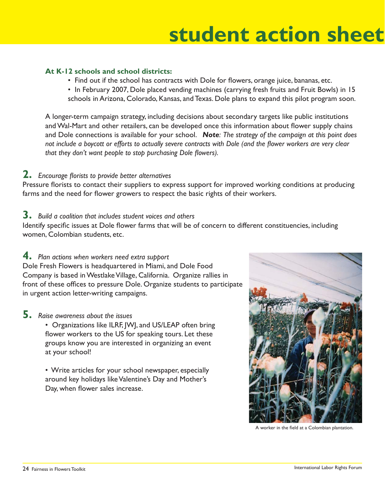### **resources:Student Action Sheet student action sheet**

#### **At K-12 schools and school districts:**

- Find out if the school has contracts with Dole for flowers, orange juice, bananas, etc.
- In February 2007, Dole placed vending machines (carrying fresh fruits and Fruit Bowls) in 15 schools in Arizona, Colorado, Kansas, and Texas. Dole plans to expand this pilot program soon.

 A longer-term campaign strategy, including decisions about secondary targets like public institutions and Wal-Mart and other retailers, can be developed once this information about flower supply chains and Dole connections is available for your school. *Note: The strategy of the campaign at this point does*  not include a boycott or efforts to actually severe contracts with Dole (and the flower workers are very clear *that they don't want people to stop purchasing Dole flowers).* 

#### **2.** Encourage florists to provide better alternatives

Pressure florists to contact their suppliers to express support for improved working conditions at producing farms and the need for flower growers to respect the basic rights of their workers.

#### **3.** *Build a coalition that includes student voices and others*

Identify specific issues at Dole flower farms that will be of concern to different constituencies, including women, Colombian students, etc.

#### **4.** *Plan actions when workers need extra support*

Dole Fresh Flowers is headquartered in Miami, and Dole Food Company is based in Westlake Village, California. Organize rallies in front of these offices to pressure Dole. Organize students to participate in urgent action letter-writing campaigns.

#### **5.** *Raise awareness about the issues*

• Organizations like ILRF, JWJ, and US/LEAP often bring flower workers to the US for speaking tours. Let these groups know you are interested in organizing an event at your school!

 • Write articles for your school newspaper, especially around key holidays like Valentine's Day and Mother's Day, when flower sales increase.



A worker in the field at a Colombian plantation.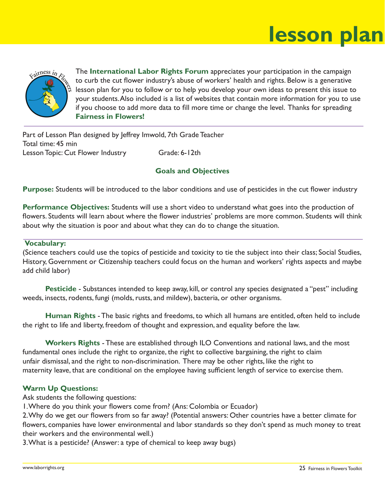### **resson plan lesson plan**



The **International Labor Rights Forum** appreciates your participation in the campaign to curb the cut flower industry's abuse of workers' health and rights. Below is a generative lesson plan for you to follow or to help you develop your own ideas to present this issue to your students. Also included is a list of websites that contain more information for you to use if you choose to add more data to fill more time or change the level. Thanks for spreading **Fairness in Flowers!**

Part of Lesson Plan designed by Jeffrey Imwold, 7th Grade Teacher Total time: 45 min Lesson Topic: Cut Flower Industry Grade: 6-12th

#### **Goals and Objectives**

**Purpose:** Students will be introduced to the labor conditions and use of pesticides in the cut flower industry

**Performance Objectives:** Students will use a short video to understand what goes into the production of flowers. Students will learn about where the flower industries' problems are more common. Students will think about why the situation is poor and about what they can do to change the situation.

#### **Vocabulary:**

(Science teachers could use the topics of pesticide and toxicity to tie the subject into their class; Social Studies, History, Government or Citizenship teachers could focus on the human and workers' rights aspects and maybe add child labor)

**Pesticide** - Substances intended to keep away, kill, or control any species designated a "pest" including weeds, insects, rodents, fungi (molds, rusts, and mildew), bacteria, or other organisms.

 **Human Rights** - The basic rights and freedoms, to which all humans are entitled, often held to include the right to life and liberty, freedom of thought and expression, and equality before the law.

 **Workers Rights** - These are established through ILO Conventions and national laws, and the most fundamental ones include the right to organize, the right to collective bargaining, the right to claim unfair dismissal, and the right to non-discrimination. There may be other rights, like the right to maternity leave, that are conditional on the employee having sufficient length of service to exercise them.

#### **Warm Up Questions:**

Ask students the following questions:

1. Where do you think your flowers come from? (Ans: Colombia or Ecuador)

2. Why do we get our flowers from so far away? (Potential answers: Other countries have a better climate for flowers, companies have lower environmental and labor standards so they don't spend as much money to treat their workers and the environmental well.)

3. What is a pesticide? (Answer: a type of chemical to keep away bugs)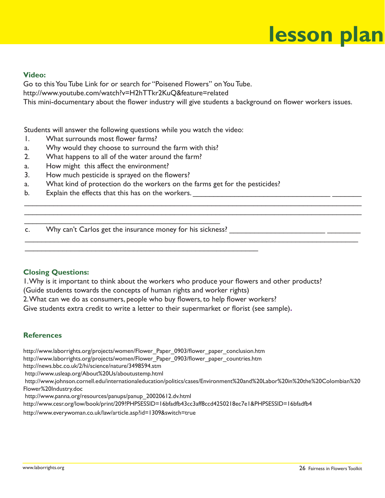### **resson plan lesson plan**

#### **Video:**

 Go to this You Tube Link for or search for "Poisened Flowers" on You Tube.

http://www.youtube.com/watch?v=H2hTTkr2KuQ&feature=related

This mini-documentary about the flower industry will give students a background on flower workers issues.

 $\mathcal{L}_\mathcal{L} = \mathcal{L}_\mathcal{L} = \mathcal{L}_\mathcal{L} = \mathcal{L}_\mathcal{L} = \mathcal{L}_\mathcal{L} = \mathcal{L}_\mathcal{L} = \mathcal{L}_\mathcal{L} = \mathcal{L}_\mathcal{L} = \mathcal{L}_\mathcal{L} = \mathcal{L}_\mathcal{L} = \mathcal{L}_\mathcal{L} = \mathcal{L}_\mathcal{L} = \mathcal{L}_\mathcal{L} = \mathcal{L}_\mathcal{L} = \mathcal{L}_\mathcal{L} = \mathcal{L}_\mathcal{L} = \mathcal{L}_\mathcal{L}$ \_\_\_\_\_\_\_\_\_\_\_\_\_\_\_\_\_\_\_\_\_\_\_\_\_\_\_\_\_\_\_\_\_\_\_\_\_\_\_\_\_\_\_\_\_\_\_\_\_\_\_\_\_\_\_\_\_\_\_\_\_\_\_\_\_\_\_\_\_\_\_\_\_\_\_\_\_\_\_\_\_

\_\_\_\_\_\_\_\_\_\_\_\_\_\_\_\_\_\_\_\_\_\_\_\_\_\_\_\_\_\_\_\_\_\_\_\_\_\_\_\_\_\_\_\_\_\_\_\_\_\_\_\_\_\_\_\_\_\_\_\_\_\_\_\_\_\_\_\_\_\_\_\_\_\_\_\_\_\_\_\_

Students will answer the following questions while you watch the video:

- 1. What surrounds most flower farms?
- a. Why would they choose to surround the farm with this?
- 2. What happens to all of the water around the farm?
- a. How might this affect the environment?
- 3. How much pesticide is sprayed on the flowers?
- a. What kind of protection do the workers on the farms get for the pesticides?
- b. Explain the effects that this has on the workers.

 $\mathcal{L}_\text{G}$  , and the set of the set of the set of the set of the set of the set of the set of the set of the set of the set of the set of the set of the set of the set of the set of the set of the set of the set of the c. Why can't Carlos get the insurance money for his sickness?

#### **Closing Questions:**

1. Why is it important to think about the workers who produce your flowers and other products?

(Guide students towards the concepts of human rights and worker rights)

 $\mathcal{L}_\text{max}$  , and the contribution of the contribution of the contribution of the contribution of the contribution of the contribution of the contribution of the contribution of the contribution of the contribution of t

2. What can we do as consumers, people who buy flowers, to help flower workers?

Give students extra credit to write a letter to their supermarket or florist (see sample).

#### **References**

http://www.laborrights.org/projects/women/Flower\_Paper\_0903/flower\_paper\_conclusion.htm

http://www.laborrights.org/projects/women/Flower\_Paper\_0903/fl ower\_paper\_countries.htm

http://news.bbc.co.uk/2/hi/science/nature/3498594.stm

http://www.usleap.org/About%20Us/aboutustemp.html

 http://www.johnson.cornell.edu/internationaleducation/politics/cases/Environment%20and%20Labor%20in%20the%20Colombian%20 Flower%20Industry.doc

http://www.panna.org/resources/panups/panup\_20020612.dv.html

http://www.cesr.org/low/book/print/209?PHPSESSID=16bfadfb43cc3aff8ccd4250218ec7e1&PHPSESSID=16bfadfb4

http://www.everywoman.co.uk/law/article.asp?id=1309&switch=true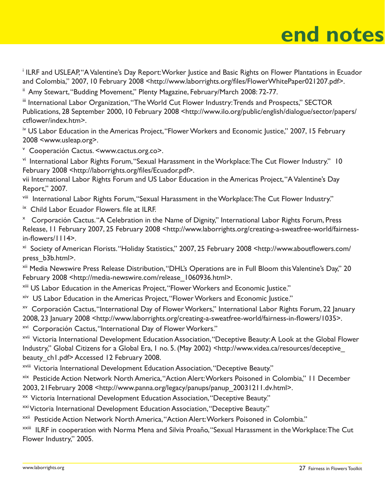### **not end notes**

<sup>i</sup> ILRF and USLEAP, "A Valentine's Day Report: Worker Justice and Basic Rights on Flower Plantations in Ecuador and Colombia," 2007, 10 February 2008 <http://www.laborrights.org/files/FlowerWhitePaper021207.pdf>.

ii Amy Stewart, "Budding Movement," Plenty Magazine, February/March 2008: 72-77.

iii International Labor Organization, "The World Cut Flower Industry: Trends and Prospects," SECTOR Publications, 28 September 2000, 10 February 2008 <http://www.ilo.org/public/english/dialogue/sector/papers/ ctflower/index.htm>.

<sup>iv</sup> US Labor Education in the Americas Project, "Flower Workers and Economic Justice," 2007, 15 February 2008 <www.usleap.org>.

v Cooperación Cactus. <www.cactus.org.co>.

vi International Labor Rights Forum, "Sexual Harassment in the Workplace: The Cut Flower Industry." 10 February 2008 <http://laborrights.org/files/Ecuador.pdf>.

vii International Labor Rights Forum and US Labor Education in the Americas Project, "A Valentine's Day Report," 2007.

viii International Labor Rights Forum, "Sexual Harassment in the Workplace: The Cut Flower Industry."

<sup>ix</sup> Child Labor Ecuador Flowers. file at ILRF.

x Corporación Cactus. "A Celebration in the Name of Dignity," International Labor Rights Forum, Press Release, 11 February 2007, 25 February 2008 <http://www.laborrights.org/creating-a-sweatfree-world/fairnessin-flowers/1114>.

<sup>xi</sup> Society of American Florists. "Holiday Statistics," 2007, 25 February 2008 <http://www.aboutflowers.com/ press\_b3b.html>.

xii Media Newswire Press Release Distribution, "DHL's Operations are in Full Bloom this Valentine's Day," 20 February 2008 <http://media-newswire.com/release\_1060936.html>.

- xiii US Labor Education in the Americas Project, "Flower Workers and Economic Justice."
- xiv US Labor Education in the Americas Project, "Flower Workers and Economic Justice."
- xv Corporación Cactus, "International Day of Flower Workers," International Labor Rights Forum, 22 January 2008, 23 January 2008 <http://www.laborrights.org/creating-a-sweatfree-world/fairness-in-flowers/1035>.

xvi Corporación Cactus, "International Day of Flower Workers."

xvii Victoria International Development Education Association, "Deceptive Beauty: A Look at the Global Flower Industry," Global Citizens for a Global Era, 1 no. 5. (May 2002) <http://www.videa.ca/resources/deceptive\_ beauty ch1.pdf> Accessed 12 February 2008.

xviii Victoria International Development Education Association, "Deceptive Beauty."

xix Pesticide Action Network North America, "Action Alert: Workers Poisoned in Colombia," 11 December 2003, 21February 2008 <http://www.panna.org/legacy/panups/panup\_20031211.dv.html>.

xx Victoria International Development Education Association, "Deceptive Beauty."

xxi Victoria International Development Education Association, "Deceptive Beauty."

xxii Pesticide Action Network North America, "Action Alert: Workers Poisoned in Colombia."

xxiii ILRF in cooperation with Norma Mena and Silvia Proaño, "Sexual Harassment in the Workplace: The Cut Flower Industry," 2005.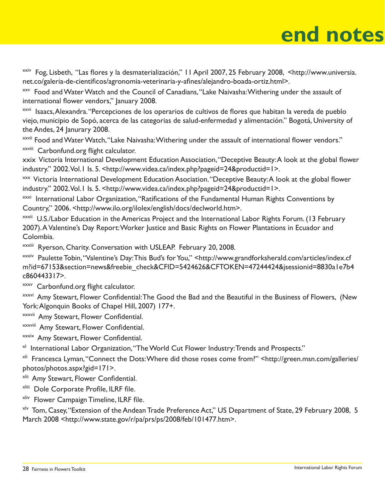## **end notes**

xxiv Fog, Lisbeth, "Las flores y la desmaterialización," I l April 2007, 25 February 2008, <http://www.universia. net.co/galeria-de-cientificos/agronomia-veterinaria-y-afines/alejandro-boada-ortiz.html>.

xxv Food and Water Watch and the Council of Canadians, "Lake Naivasha: Withering under the assault of international flower vendors," January 2008.

xxvi Isaacs, Alexandra. "Percepciones de los operarios de cultivos de flores que habitan la vereda de pueblo viejo, municipio de Sopó, acerca de las categorias de salud-enfermedad y alimentación." Bogotá, University of the Andes, 24 Janurary 2008.

<sup>xxvii</sup> Food and Water Watch, "Lake Naivasha: Withering under the assault of international flower vendors."

xxviii Carbonfund.org flight calculator.

xxix Victoria International Development Education Association, "Deceptive Beauty: A look at the global flower industry." 2002. Vol.1 Is. 5. <http://www.videa.ca/index.php?pageid=24&productid=1>.

<sup>xxx</sup> Victoria International Development Education Asociation. "Deceptive Beauty: A look at the global flower industry." 2002. Vol.1 Is. 5. <http://www.videa.ca/index.php?pageid=24&productid=1>.

 $x^{\text{xxi}}$  International Labor Organization, "Ratifications of the Fundamental Human Rights Conventions by Country," 2006. <http://www.ilo.org/ilolex/english/docs/declworld.htm>.

xxxii U.S./Labor Education in the Americas Project and the International Labor Rights Forum. (13 February 2007). A Valentine's Day Report: Worker Justice and Basic Rights on Flower Plantations in Ecuador and Colombia.

xxxiii Ryerson, Charity. Conversation with USLEAP. February 20, 2008.

xxxiv Paulette Tobin, "Valentine's Day: This Bud's for You," <http://www.grandforksherald.com/articles/index.cf m?id=67153&section=news&freebie\_check&CFID=5424626&CFTOKEN=47244424&jsessionid=8830a1e7b4 c860443317>.

xxxv Carbonfund.org flight calculator.

<sup>xxxvi</sup> Amy Stewart, Flower Confidential: The Good the Bad and the Beautiful in the Business of Flowers, (New York: Algonquin Books of Chapel Hill, 2007) 177+.

xxxvii Amy Stewart, Flower Confidential.

xxxviii Amy Stewart, Flower Confidential.

xxxix Amy Stewart, Flower Confidential.

<sup>xl</sup> International Labor Organization, "The World Cut Flower Industry: Trends and Prospects."

xli Francesca Lyman, "Connect the Dots: Where did those roses come from?" <http://green.msn.com/galleries/ photos/photos.aspx?gid=171>.

xlii Amy Stewart, Flower Confidential.

xliii Dole Corporate Profile, ILRF file.

xliv Flower Campaign Timeline, ILRF file.

x<sup>lv</sup> Tom, Casey, "Extension of the Andean Trade Preference Act," US Department of State, 29 February 2008, 5 March 2008 <http://www.state.gov/r/pa/prs/ps/2008/feb/101477.htm>.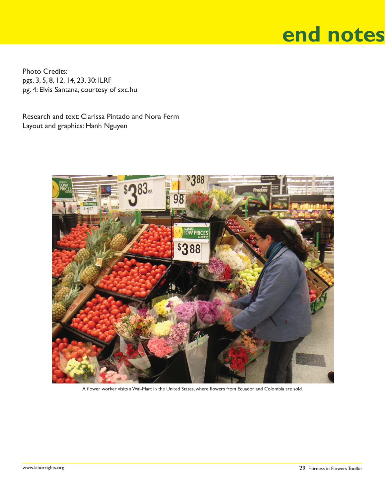### **not end notes**

Photo Credits: pgs. 3, 5, 8, 12, 14, 23, 30: ILRF pg. 4: Elvis Santana, courtesy of sxc.hu

Research and text: Clarissa Pintado and Nora Ferm Layout and graphics: Hanh Nguyen



A flower worker visits a Wal-Mart in the United States, where flowers from Ecuador and Colombia are sold.